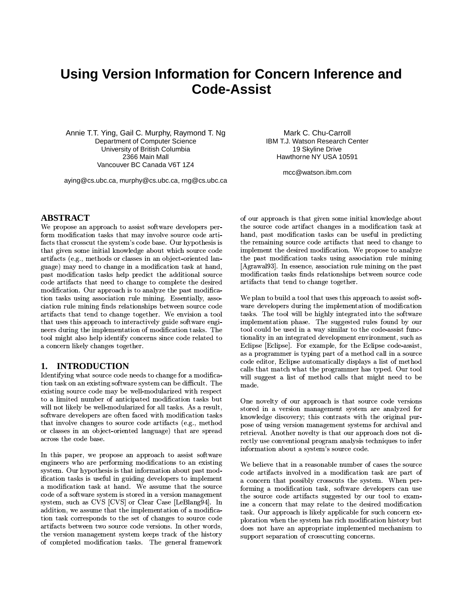# **Using Version Information for Concern Inference and Code-Assist**

Annie T.T. Ying, Gail C. Murphy, Raymond T. Ng Department of Computer Science University of British Columbia 2366 Main Mall Vancouver BC Canada V6T 174

aying@cs.ubc.ca, murphy@cs.ubc.ca, rng@cs.ubc.ca

## **ABSTRACT**

We propose an approach to assist software developers perform modification tasks that may involve source code artifacts that crosscut the system's code base. Our hypothesis is that given some initial knowledge about which source code artifacts (e.g., methods or classes in an object-oriented language) may need to change in a modification task at hand. past modification tasks help predict the additional source code artifacts that need to change to complete the desired modification. Our approach is to analyze the past modification tasks using association rule mining. Essentially, association rule mining finds relationships between source code artifacts that tend to change together. We envision a tool that uses this approach to interactively guide software engineers during the implementation of modification tasks. The tool might also help identify concerns since code related to a concern likely changes together.

## 1. INTRODUCTION

Identifying what source code needs to change for a modification task on an existing software system can be difficult. The existing source code may be well-modularized with respect to a limited number of anticipated modification tasks but will not likely be well-modularized for all tasks. As a result. software developers are often faced with modification tasks that involve changes to source code artifacts (e.g., method or classes in an object-oriented language) that are spread across the code base.

In this paper, we propose an approach to assist software engineers who are performing modifications to an existing system. Our hypothesis is that information about past modification tasks is useful in guiding developers to implement a modification task at hand. We assume that the source code of a software system is stored in a version management system, such as CVS [CVS] or Clear Case [LeBlang94]. In addition, we assume that the implementation of a modification task corresponds to the set of changes to source code artifacts between two source code versions. In other words, the version management system keeps track of the history of completed modification tasks. The general framework

Mark C. Chu-Carroll **IBM T.J. Watson Research Center** 19 Skyline Drive Hawthorne NY USA 10591

mcc@watson.ibm.com

of our approach is that given some initial knowledge about the source code artifact changes in a modification task at hand, past modification tasks can be useful in predicting the remaining source code artifacts that need to change to implement the desired modification. We propose to analyze the past modification tasks using association rule mining [Agrawal93]. In essence, association rule mining on the past modification tasks finds relationships between source code artifacts that tend to change together.

We plan to build a tool that uses this approach to assist software developers during the implementation of modification tasks. The tool will be highly integrated into the software implementation phase. The suggested rules found by our tool could be used in a way similar to the code-assist functionality in an integrated development environment, such as Eclipse [Eclipse]. For example, for the Eclipse code-assist, as a programmer is typing part of a method call in a source code editor, Eclipse automatically displays a list of method calls that match what the programmer has typed. Our tool will suggest a list of method calls that might need to be made.

One novelty of our approach is that source code versions stored in a version management system are analyzed for knowledge discovery; this contrasts with the original purpose of using version management systems for archival and retrieval. Another novelty is that our approach does not directly use conventional program analysis techniques to infer information about a system's source code.

We believe that in a reasonable number of cases the source code artifacts involved in a modification task are part of a concern that possibly crosscuts the system. When performing a modification task, software developers can use the source code artifacts suggested by our tool to examine a concern that may relate to the desired modification task. Our approach is likely applicable for such concern exploration when the system has rich modification history but does not have an appropriate implemented mechanism to support separation of crosscutting concerns.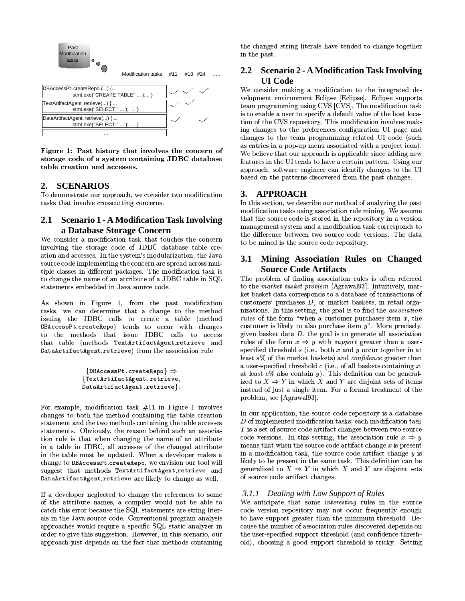

Figure 1: Past history that involves the concern of storage code of a system containing JDBC database table creation and accesses.

#### **SCENARIOS**  $2.$

To demonstrate our approach, we consider two modification tasks that involve crosscutting concerns.

#### $2.1$ **Scenario 1 - A Modification Task Involving** a Database Storage Concern

We consider a modification task that touches the concern involving the storage code of JDBC database table creation and accesses. In the system's modularization, the Java source code implementing the concern are spread across multiple classes in different packages. The modification task is to change the name of an attribute of a JDBC table in SQL statements embedded in Java source code.

As shown in Figure 1, from the past modification tasks, we can determine that a change to the method issuing the JDBC calls to create a table (method DBAccessPt createRepo) tends to occur with changes to the methods that issue JDBC calls to access that table (methods TextArtifactAgent.retrieve and DataArtifactAgent.retrieve) from the association rule

```
{DBAccessPt. createRepo} \Rightarrow{TextArtifactAgent.retrieve,
DataArtifactAgent.retrieve}.
```
For example, modification task  $#11$  in Figure 1 involves changes to both the method containing the table creation statement and the two methods containing the table accesses statements. Obviously, the reason behind such an association rule is that when changing the name of an attribute in a table in JDBC, all accesses of the changed attribute in the table must be updated. When a developer makes a change to DBAccessPt createRepo, we envision our tool will suggest that methods TextArtifactAgent.retrieve and DataArtifactAgent retrieve are likely to change as well.

If a developer neglected to change the references to some of the attribute names, a compiler would not be able to catch this error because the SQL statements are string literals in the Java source code. Conventional program analysis approaches would require a specific SQL static analyzer in order to give this suggestion. However, in this scenario, our approach just depends on the fact that methods containing

the changed string literals have tended to change together in the past.

# 2.2 Scenario 2 - A Modification Task Involving **UI** Code

We consider making a modification to the integrated development environment Eclipse [Eclipse]. Eclipse supports team programming using CVS [CVS]. The modification task is to enable a user to specify a default value of the host location of the CVS repository. This modification involves making changes to the preferences configuration UI page and changes to the team programming related UI code (such as entries in a pop-up menu associated with a project icon). We believe that our approach is applicable since adding new features in the UI tends to have a certain pattern. Using our approach, software engineer can identify changes to the UI based on the patterns discovered from the past changes.

# 3. APPROACH

In this section, we describe our method of analyzing the past modification tasks using association rule mining. We assume that the source code is stored in the repository in a version management system and a modification task corresponds to the difference between two source code versions. The data to be mined is the source code repository.

# 3.1 Mining Association Rules on Changed **Source Code Artifacts**

The problem of finding association rules is often referred to the market basket problem [Agrawal93]. Intuitively, market basket data corresponds to a database of transactions of customers' purchases  $D$ , or market baskets, in retail organizations. In this setting, the goal is to find the *association rules* of the form "when a customer purchases item  $x$ , the customer is likely to also purchase item  $y$ ". More precisely, given basket data  $D$ , the goal is to generate all association rules of the form  $x \Rightarrow y$  with *support* greater than a userspecified threshold  $s$  (i.e., both  $x$  and  $y$  occur together in at least s% of the market baskets) and confidence greater than a user-specified threshold  $c$  (i.e., of all baskets containing  $x$ , at least  $c\%$  also contain y). This definition can be generalized to  $X \Rightarrow Y$  in which X and Y are disjoint sets of items instead of just a single item. For a formal treatment of the problem, see [Agrawal93].

In our application, the source code repository is a database  $D$  of implemented modification tasks; each modification task  $T$  is a set of source code artifact changes between two source code versions. In this setting, the association rule  $x \Rightarrow y$ means that when the source code artifact change  $x$  is present in a modification task, the source code artifact change  $y$  is likely to be present in the same task. This definition can be generalized to  $X \Rightarrow Y$  in which X and Y are disjoint sets of source code artifact changes.

## 3.1.1 Dealing with Low Support of Rules

We anticipate that some *interesting* rules in the source code version repository may not occur frequently enough to have support greater than the minimum threshold. Because the number of association rules discovered depends on the user-specified support threshold (and confidence threshold), choosing a good support threshold is tricky. Setting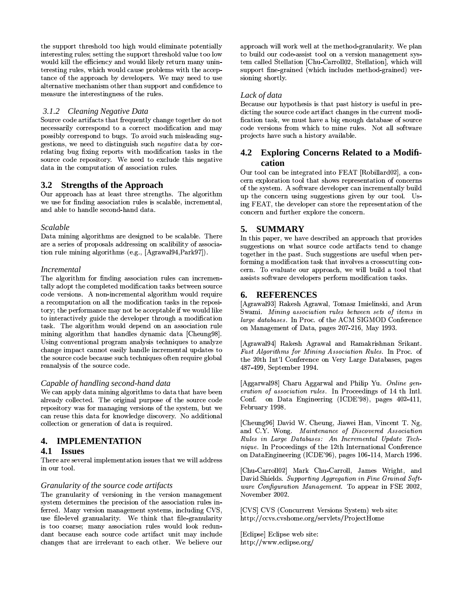the support threshold too high would eliminate potentially interesting rules; setting the support threshold value too low would kill the efficiency and would likely return many uninteresting rules, which would cause problems with the acceptance of the approach by developers. We may need to use alternative mechanism other than support and confidence to measure the interestingness of the rules.

#### 3.1.2 Cleaning Negative Data

Source code artifacts that frequently change together do not necessarily correspond to a correct modification and may possibly correspond to bugs. To avoid such misleading suggestions, we need to distinguish such *negative* data by correlating bug fixing reports with modification tasks in the source code repository. We need to exclude this negative data in the computation of association rules.

## 3.2 Strengths of the Approach

Our approach has at least three strengths. The algorithm we use for finding association rules is scalable, incremental, and able to handle second-hand data.

#### **Scalable**

Data mining algorithms are designed to be scalable. There are a series of proposals addressing on scalibility of association rule mining algorithms (e.g., [Agrawal94, Park97]).

#### *Incremental*

The algorithm for finding association rules can incrementally adopt the completed modification tasks between source code versions. A non-incremental algorithm would require a recomputation on all the modification tasks in the repository; the performance may not be acceptable if we would like to interactively guide the developer through a modification task. The algorithm would depend on an association rule mining algorithm that handles dynamic data [Cheung98]. Using conventional program analysis techniques to analyze change impact cannot easily handle incremental updates to the source code because such techniques often require global reanalysis of the source code.

#### Capable of handling second-hand data

We can apply data mining algorithms to data that have been already collected. The original purpose of the source code repository was for managing versions of the system, but we can reuse this data for knowledge discovery. No additional collection or generation of data is required.

## 4. IMPLEMENTATION

#### 4.1 Issues

There are several implementation issues that we will address in our tool.

#### Granularity of the source code artifacts

The granularity of versioning in the version management system determines the precision of the association rules inferred. Many version management systems, including CVS, use file-level granualarity. We think that file-granularity is too coarse; many association rules would look redundant because each source code artifact unit may include changes that are irrelevant to each other. We believe our

approach will work well at the method-granularity. We plan to build our code-assist tool on a version management system called Stellation [Chu-Carroll02, Stellation], which will support fine-grained (which includes method-grained) versioning shortly.

#### Lack of data

Because our hypothesis is that past history is useful in predicting the source code artifact changes in the current modification task, we must have a big enough database of source code versions from which to mine rules. Not all software projects have such a history available.

## 4.2 Exploring Concerns Related to a Modification

Our tool can be integrated into FEAT [Robillard02], a concern exploration tool that shows representation of concerns of the system. A software developer can incrementally build up the concern using suggestions given by our tool. Using FEAT, the developer can store the representation of the concern and further explore the concern.

## 5. SUMMARY

In this paper, we have described an approach that provides suggestions on what source code artifacts tend to change together in the past. Such suggestions are useful when performing a modification task that involves a crosscutting concern. To evaluate our approach, we will build a tool that assists software developers perform modification tasks.

## 6. REFERENCES

[Agrawal93] Rakesh Agrawal, Tomasz Imielinski, and Arun Swami. Mining association rules between sets of items in large databases. In Proc. of the ACM SIGMOD Conference on Management of Data, pages 207-216, May 1993.

[Agrawal94] Rakesh Agrawal and Ramakrishnan Srikant. Fast Algorithms for Mining Association Rules. In Proc. of the 20th Int'l Conference on Very Large Databases, pages 487-499, September 1994.

[Aggarwal98] Charu Aggarwal and Philip Yu. Online generation of association rules. In Proceedings of 14 th Intl. Conf. on Data Engineering (ICDE'98), pages 402-411, February 1998.

[Cheung96] David W. Cheung, Jiawei Han, Vincent T. Ng, and C.Y. Wong. Maintenance of Discovered Association Rules in Large Databases: An Incremental Update Technique. In Proceedings of the 12th International Conference on DataEngineering (ICDE'96), pages 106-114, March 1996.

[Chu-Carroll02] Mark Chu-Carroll, James Wright, and David Shields. Supporting Aggregation in Fine Grained Software Configuration Management. To appear in FSE 2002, November 2002.

[CVS] CVS (Concurrent Versions System) web site: http://ccvs.cvshome.org/servlets/ProjectHome

[Eclipse] Eclipse web site: http://www.eclipse.org/